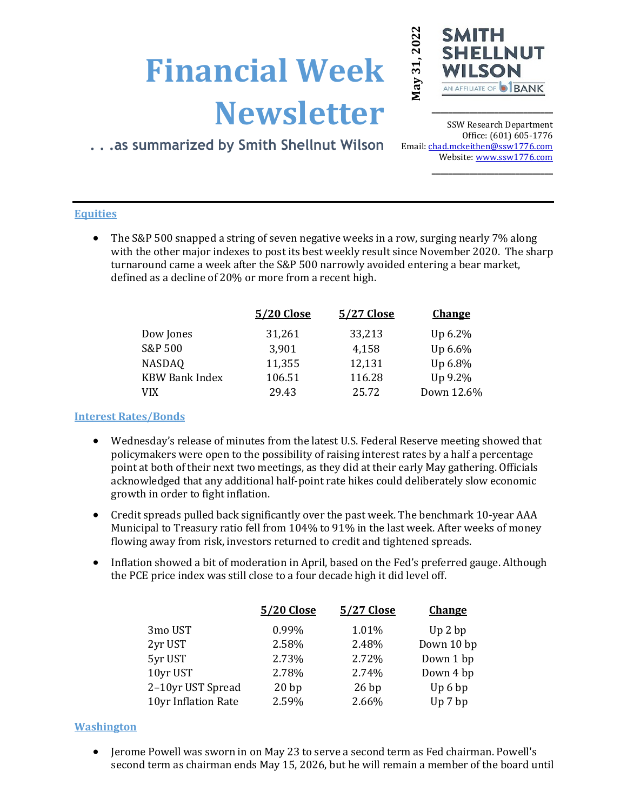# **Financial Week Newsletter**



**\_\_\_\_\_\_\_\_\_\_\_\_\_\_\_\_\_\_\_\_\_\_\_\_\_\_\_\_\_**

# **. . .as summarized by Smith Shellnut Wilson**

SSW Research Department Office: (601) 605-1776 Email: chad.mckeithen@ssw1776.com Website[: www.ssw1776.com](http://www.ssw1776.com/) **\_\_\_\_\_\_\_\_\_\_\_\_\_\_\_\_\_\_\_\_\_\_\_\_\_\_\_\_\_**

# **Equities**

• The S&P 500 snapped a string of seven negative weeks in a row, surging nearly 7% along with the other major indexes to post its best weekly result since November 2020. The sharp turnaround came a week after the S&P 500 narrowly avoided entering a bear market, defined as a decline of 20% or more from a recent high.

| 5/20 Close | 5/27 Close | <b>Change</b> |
|------------|------------|---------------|
| 31,261     | 33,213     | Up 6.2%       |
| 3,901      | 4,158      | Up 6.6%       |
| 11,355     | 12,131     | Up 6.8%       |
| 106.51     | 116.28     | Up 9.2%       |
| 29.43      | 25.72      | Down 12.6%    |
|            |            |               |

## **Interest Rates/Bonds**

- Wednesday's release of minutes from the latest U.S. Federal Reserve meeting showed that policymakers were open to the possibility of raising interest rates by a half a percentage point at both of their next two meetings, as they did at their early May gathering. Officials acknowledged that any additional half-point rate hikes could deliberately slow economic growth in order to fight inflation.
- Credit spreads pulled back significantly over the past week. The benchmark 10-year AAA Municipal to Treasury ratio fell from 104% to 91% in the last week. After weeks of money flowing away from risk, investors returned to credit and tightened spreads.
- Inflation showed a bit of moderation in April, based on the Fed's preferred gauge. Although the PCE price index was still close to a four decade high it did level off.

| 0.99%<br>1.01%<br>3mo UST<br>Up 2 bp             |  |
|--------------------------------------------------|--|
| Down 10 bp<br>2.58%<br>2yr UST<br>2.48%          |  |
| 5yr UST<br>Down 1 bp<br>2.73%<br>2.72%           |  |
| 10yr UST<br>2.78%<br>Down 4 bp<br>2.74%          |  |
| 2-10yr UST Spread<br>20bp<br>Up6bp<br>26bp       |  |
| 2.59%<br>10yr Inflation Rate<br>2.66%<br>Up 7 bp |  |

## **Washington**

• Jerome Powell was sworn in on May 23 to serve a second term as Fed chairman. Powell's second term as chairman ends May 15, 2026, but he will remain a member of the board until